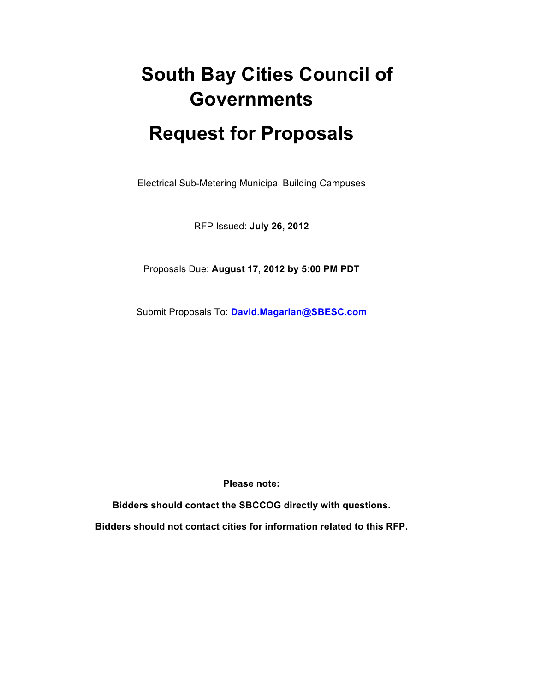# **South Bay Cities Council of Governments**

## **Request for Proposals**

Electrical Sub-Metering Municipal Building Campuses

RFP Issued: **July 26, 2012**

Proposals Due: **August 17, 2012 by 5:00 PM PDT**

Submit Proposals To: **David.Magarian@SBESC.com**

**Please note:**

**Bidders should contact the SBCCOG directly with questions.**

**Bidders should not contact cities for information related to this RFP.**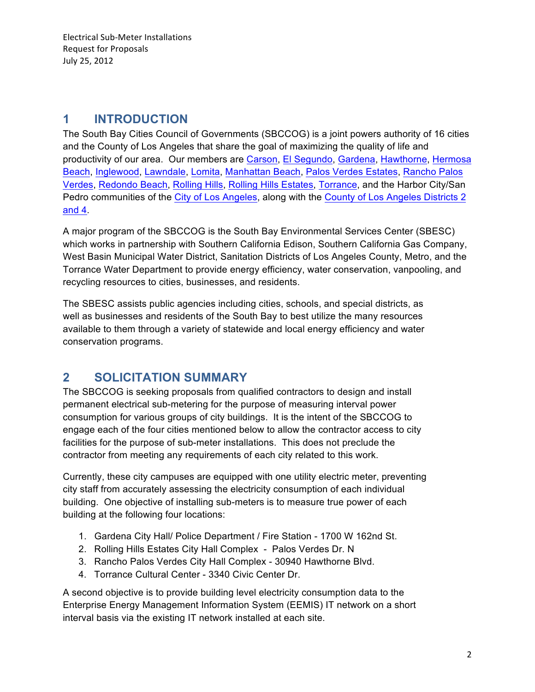## **1 INTRODUCTION**

The South Bay Cities Council of Governments (SBCCOG) is a joint powers authority of 16 cities and the County of Los Angeles that share the goal of maximizing the quality of life and productivity of our area. Our members are Carson, El Segundo, Gardena, Hawthorne, Hermosa Beach, Inglewood, Lawndale, Lomita, Manhattan Beach, Palos Verdes Estates, Rancho Palos Verdes, Redondo Beach, Rolling Hills, Rolling Hills Estates, Torrance, and the Harbor City/San Pedro communities of the City of Los Angeles, along with the County of Los Angeles Districts 2 and 4.

A major program of the SBCCOG is the South Bay Environmental Services Center (SBESC) which works in partnership with Southern California Edison, Southern California Gas Company, West Basin Municipal Water District, Sanitation Districts of Los Angeles County, Metro, and the Torrance Water Department to provide energy efficiency, water conservation, vanpooling, and recycling resources to cities, businesses, and residents.

The SBESC assists public agencies including cities, schools, and special districts, as well as businesses and residents of the South Bay to best utilize the many resources available to them through a variety of statewide and local energy efficiency and water conservation programs.

## **2 SOLICITATION SUMMARY**

The SBCCOG is seeking proposals from qualified contractors to design and install permanent electrical sub-metering for the purpose of measuring interval power consumption for various groups of city buildings. It is the intent of the SBCCOG to engage each of the four cities mentioned below to allow the contractor access to city facilities for the purpose of sub-meter installations. This does not preclude the contractor from meeting any requirements of each city related to this work.

Currently, these city campuses are equipped with one utility electric meter, preventing city staff from accurately assessing the electricity consumption of each individual building. One objective of installing sub-meters is to measure true power of each building at the following four locations:

- 1. Gardena City Hall/ Police Department / Fire Station 1700 W 162nd St.
- 2. Rolling Hills Estates City Hall Complex Palos Verdes Dr. N
- 3. Rancho Palos Verdes City Hall Complex 30940 Hawthorne Blvd.
- 4. Torrance Cultural Center 3340 Civic Center Dr.

A second objective is to provide building level electricity consumption data to the Enterprise Energy Management Information System (EEMIS) IT network on a short interval basis via the existing IT network installed at each site.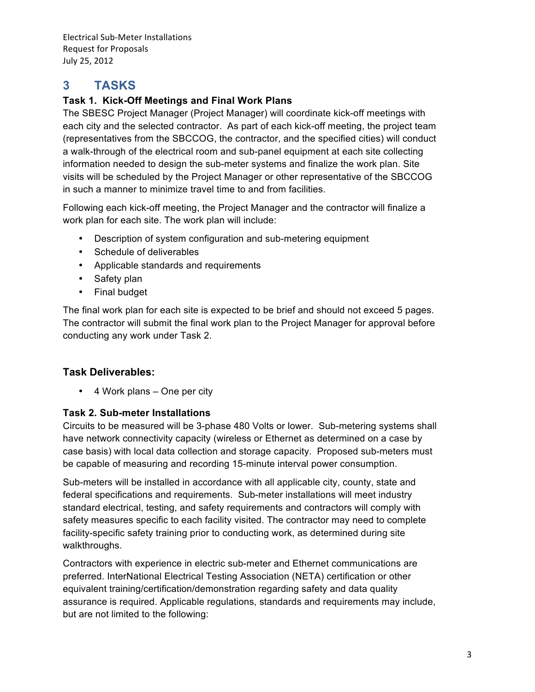## **3 TASKS**

#### **Task 1. Kick-Off Meetings and Final Work Plans**

The SBESC Project Manager (Project Manager) will coordinate kick-off meetings with each city and the selected contractor. As part of each kick-off meeting, the project team (representatives from the SBCCOG, the contractor, and the specified cities) will conduct a walk-through of the electrical room and sub-panel equipment at each site collecting information needed to design the sub-meter systems and finalize the work plan. Site visits will be scheduled by the Project Manager or other representative of the SBCCOG in such a manner to minimize travel time to and from facilities.

Following each kick-off meeting, the Project Manager and the contractor will finalize a work plan for each site. The work plan will include:

- Description of system configuration and sub-metering equipment
- Schedule of deliverables
- Applicable standards and requirements
- Safety plan
- Final budget

The final work plan for each site is expected to be brief and should not exceed 5 pages. The contractor will submit the final work plan to the Project Manager for approval before conducting any work under Task 2.

#### **Task Deliverables:**

• 4 Work plans – One per city

#### **Task 2. Sub-meter Installations**

Circuits to be measured will be 3-phase 480 Volts or lower. Sub-metering systems shall have network connectivity capacity (wireless or Ethernet as determined on a case by case basis) with local data collection and storage capacity. Proposed sub-meters must be capable of measuring and recording 15-minute interval power consumption.

Sub-meters will be installed in accordance with all applicable city, county, state and federal specifications and requirements. Sub-meter installations will meet industry standard electrical, testing, and safety requirements and contractors will comply with safety measures specific to each facility visited. The contractor may need to complete facility-specific safety training prior to conducting work, as determined during site walkthroughs.

Contractors with experience in electric sub-meter and Ethernet communications are preferred. InterNational Electrical Testing Association (NETA) certification or other equivalent training/certification/demonstration regarding safety and data quality assurance is required. Applicable regulations, standards and requirements may include, but are not limited to the following: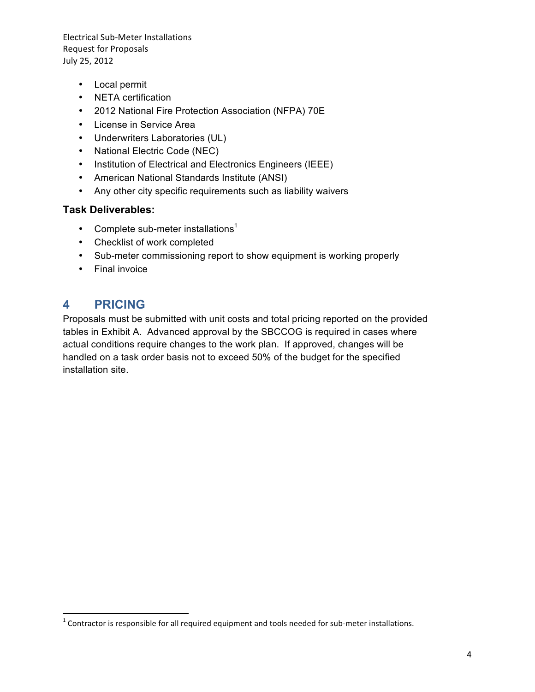- Local permit
- NETA certification
- 2012 National Fire Protection Association (NFPA) 70E
- License in Service Area
- Underwriters Laboratories (UL)
- National Electric Code (NEC)
- Institution of Electrical and Electronics Engineers (IEEE)
- American National Standards Institute (ANSI)
- Any other city specific requirements such as liability waivers

#### **Task Deliverables:**

- Complete sub-meter installations<sup>1</sup>
- Checklist of work completed
- Sub-meter commissioning report to show equipment is working properly
- Final invoice

<u> 1989 - Johann Stein, fransk politik (d. 1989)</u>

#### **4 PRICING**

Proposals must be submitted with unit costs and total pricing reported on the provided tables in Exhibit A. Advanced approval by the SBCCOG is required in cases where actual conditions require changes to the work plan. If approved, changes will be handled on a task order basis not to exceed 50% of the budget for the specified installation site.

 $1$  Contractor is responsible for all required equipment and tools needed for sub-meter installations.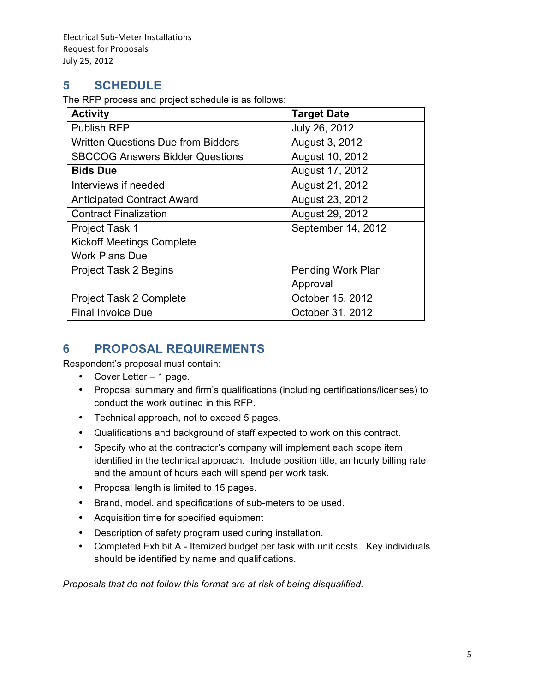## **5 SCHEDULE**

The RFP process and project schedule is as follows:

| <b>Activity</b>                           | <b>Target Date</b> |
|-------------------------------------------|--------------------|
| <b>Publish RFP</b>                        | July 26, 2012      |
| <b>Written Questions Due from Bidders</b> | August 3, 2012     |
| <b>SBCCOG Answers Bidder Questions</b>    | August 10, 2012    |
| <b>Bids Due</b>                           | August 17, 2012    |
| Interviews if needed                      | August 21, 2012    |
| <b>Anticipated Contract Award</b>         | August 23, 2012    |
| <b>Contract Finalization</b>              | August 29, 2012    |
| Project Task 1                            | September 14, 2012 |
| <b>Kickoff Meetings Complete</b>          |                    |
| <b>Work Plans Due</b>                     |                    |
| <b>Project Task 2 Begins</b>              | Pending Work Plan  |
|                                           | Approval           |
| Project Task 2 Complete                   | October 15, 2012   |
| <b>Final Invoice Due</b>                  | October 31, 2012   |

## **6 PROPOSAL REQUIREMENTS**

Respondent's proposal must contain:

- Cover Letter 1 page.
- Proposal summary and firm's qualifications (including certifications/licenses) to conduct the work outlined in this RFP.
- Technical approach, not to exceed 5 pages.
- Qualifications and background of staff expected to work on this contract.
- Specify who at the contractor's company will implement each scope item identified in the technical approach. Include position title, an hourly billing rate and the amount of hours each will spend per work task.
- Proposal length is limited to 15 pages.
- Brand, model, and specifications of sub-meters to be used.
- Acquisition time for specified equipment
- Description of safety program used during installation.
- Completed Exhibit A Itemized budget per task with unit costs. Key individuals should be identified by name and qualifications.

*Proposals that do not follow this format are at risk of being disqualified.*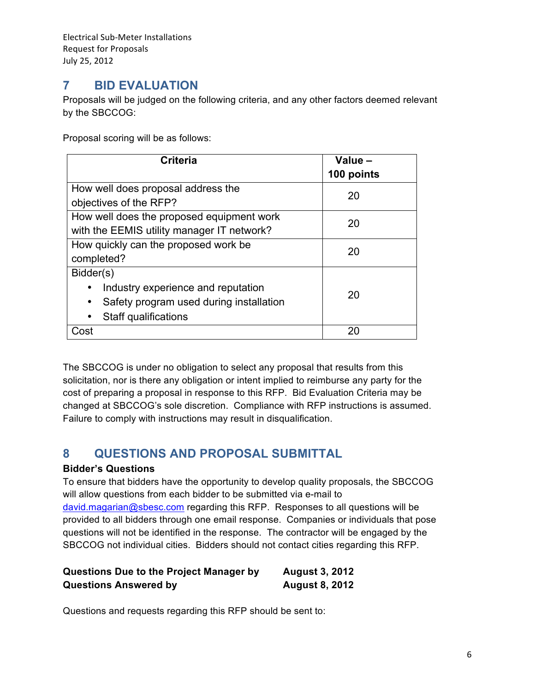### **7 BID EVALUATION**

Proposals will be judged on the following criteria, and any other factors deemed relevant by the SBCCOG:

Proposal scoring will be as follows:

| Criteria                                                                                                                                            | Value-<br>100 points |  |
|-----------------------------------------------------------------------------------------------------------------------------------------------------|----------------------|--|
| How well does proposal address the<br>objectives of the RFP?                                                                                        | 20                   |  |
| How well does the proposed equipment work<br>with the EEMIS utility manager IT network?                                                             | 20                   |  |
| How quickly can the proposed work be<br>completed?                                                                                                  | 20                   |  |
| Bidder(s)<br>Industry experience and reputation<br>Safety program used during installation<br>$\bullet$<br><b>Staff qualifications</b><br>$\bullet$ | 20                   |  |
| Cost                                                                                                                                                | 20                   |  |

The SBCCOG is under no obligation to select any proposal that results from this solicitation, nor is there any obligation or intent implied to reimburse any party for the cost of preparing a proposal in response to this RFP. Bid Evaluation Criteria may be changed at SBCCOG's sole discretion. Compliance with RFP instructions is assumed. Failure to comply with instructions may result in disqualification.

## **8 QUESTIONS AND PROPOSAL SUBMITTAL**

#### **Bidder's Questions**

To ensure that bidders have the opportunity to develop quality proposals, the SBCCOG will allow questions from each bidder to be submitted via e-mail to david.magarian@sbesc.com regarding this RFP. Responses to all questions will be provided to all bidders through one email response. Companies or individuals that pose questions will not be identified in the response. The contractor will be engaged by the SBCCOG not individual cities. Bidders should not contact cities regarding this RFP.

#### **Questions Due to the Project Manager by August 3, 2012 Questions Answered by August 8, 2012**

Questions and requests regarding this RFP should be sent to: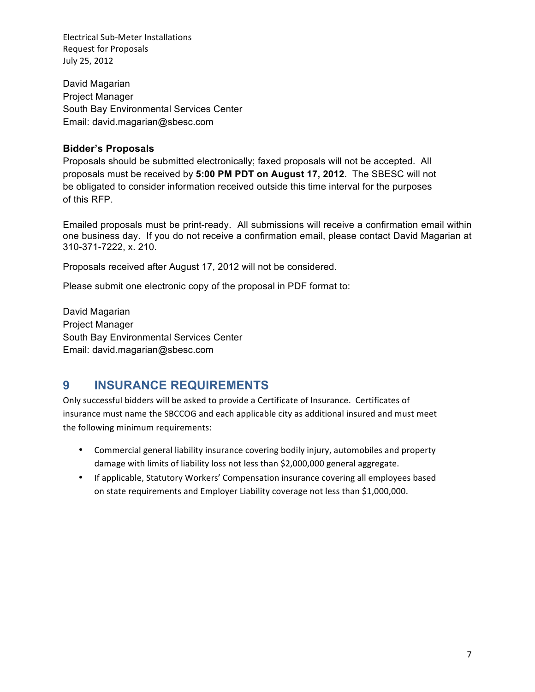David Magarian Project Manager South Bay Environmental Services Center Email: david.magarian@sbesc.com

#### **Bidder's Proposals**

Proposals should be submitted electronically; faxed proposals will not be accepted. All proposals must be received by **5:00 PM PDT on August 17, 2012**. The SBESC will not be obligated to consider information received outside this time interval for the purposes of this RFP.

Emailed proposals must be print-ready. All submissions will receive a confirmation email within one business day. If you do not receive a confirmation email, please contact David Magarian at 310-371-7222, x. 210.

Proposals received after August 17, 2012 will not be considered.

Please submit one electronic copy of the proposal in PDF format to:

David Magarian Project Manager South Bay Environmental Services Center Email: david.magarian@sbesc.com

## **9 INSURANCE REQUIREMENTS**

Only successful bidders will be asked to provide a Certificate of Insurance. Certificates of insurance must name the SBCCOG and each applicable city as additional insured and must meet the following minimum requirements:

- Commercial general liability insurance covering bodily injury, automobiles and property damage with limits of liability loss not less than \$2,000,000 general aggregate.
- If applicable, Statutory Workers' Compensation insurance covering all employees based on state requirements and Employer Liability coverage not less than \$1,000,000.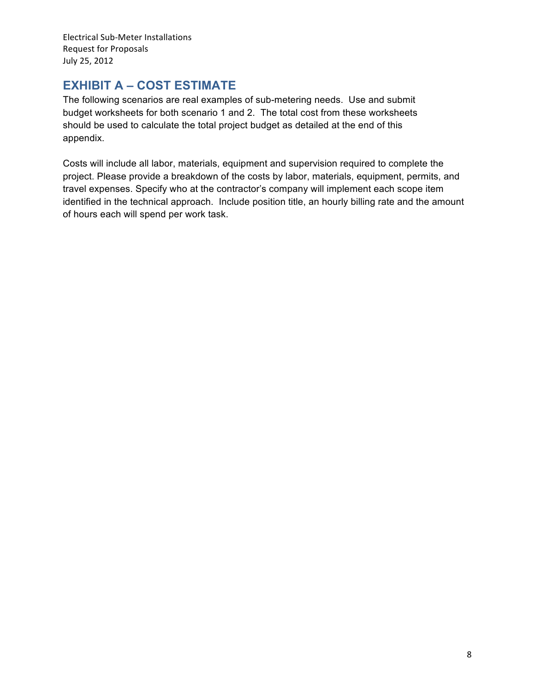## **EXHIBIT A – COST ESTIMATE**

The following scenarios are real examples of sub-metering needs. Use and submit budget worksheets for both scenario 1 and 2. The total cost from these worksheets should be used to calculate the total project budget as detailed at the end of this appendix.

Costs will include all labor, materials, equipment and supervision required to complete the project. Please provide a breakdown of the costs by labor, materials, equipment, permits, and travel expenses. Specify who at the contractor's company will implement each scope item identified in the technical approach. Include position title, an hourly billing rate and the amount of hours each will spend per work task.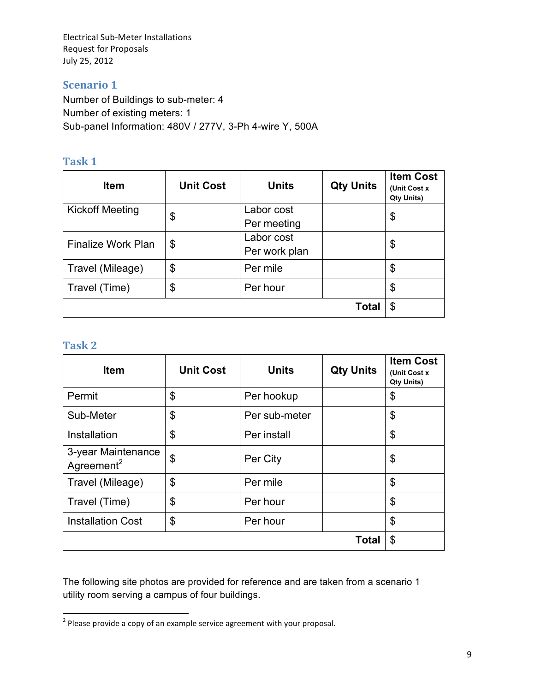#### **Scenario 1**

Number of Buildings to sub-meter: 4 Number of existing meters: 1 Sub-panel Information: 480V / 277V, 3-Ph 4-wire Y, 500A

#### **Task 1**

| <b>Item</b>               | <b>Unit Cost</b> | <b>Units</b>  | <b>Qty Units</b> | <b>Item Cost</b><br>(Unit Cost x<br>Qty Units) |
|---------------------------|------------------|---------------|------------------|------------------------------------------------|
| <b>Kickoff Meeting</b>    | \$               | Labor cost    |                  | \$                                             |
|                           |                  | Per meeting   |                  |                                                |
| <b>Finalize Work Plan</b> | \$               | Labor cost    |                  | \$                                             |
|                           |                  | Per work plan |                  |                                                |
| Travel (Mileage)          | \$               | Per mile      |                  | \$                                             |
| Travel (Time)             | \$               | Per hour      |                  | \$                                             |
| Total                     |                  |               |                  | \$                                             |

#### **Task 2**

| <b>Item</b>                                  | <b>Unit Cost</b> | <b>Units</b>  | <b>Qty Units</b> | <b>Item Cost</b><br>(Unit Cost x<br>Qty Units) |
|----------------------------------------------|------------------|---------------|------------------|------------------------------------------------|
| Permit                                       | \$               | Per hookup    |                  | \$                                             |
| Sub-Meter                                    | \$               | Per sub-meter |                  | \$                                             |
| Installation                                 | \$               | Per install   |                  | \$                                             |
| 3-year Maintenance<br>Agreement <sup>2</sup> | \$               | Per City      |                  | \$                                             |
| Travel (Mileage)                             | \$               | Per mile      |                  | \$                                             |
| Travel (Time)                                | \$               | Per hour      |                  | \$                                             |
| <b>Installation Cost</b>                     | \$               | Per hour      |                  | \$                                             |
|                                              |                  |               | <b>Total</b>     | \$                                             |

The following site photos are provided for reference and are taken from a scenario 1 utility room serving a campus of four buildings.

 $\frac{1}{2}$ Please provide a copy of an example service agreement with your proposal.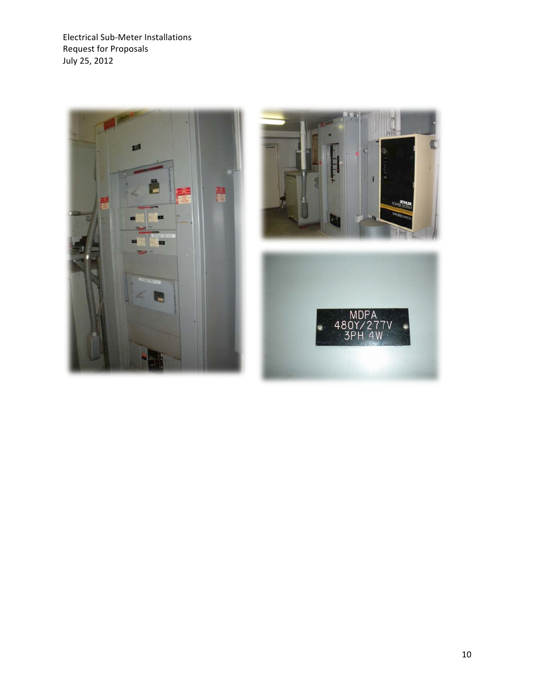

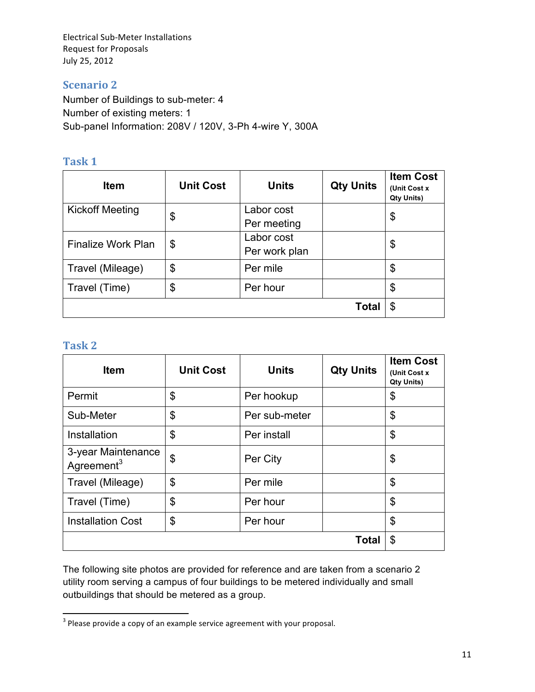#### **Scenario 2**

Number of Buildings to sub-meter: 4 Number of existing meters: 1 Sub-panel Information: 208V / 120V, 3-Ph 4-wire Y, 300A

#### **Task 1**

| <b>Item</b>               | <b>Unit Cost</b> | <b>Units</b>  | <b>Qty Units</b> | <b>Item Cost</b><br>(Unit Cost x<br>Qty Units) |
|---------------------------|------------------|---------------|------------------|------------------------------------------------|
| <b>Kickoff Meeting</b>    | \$               | Labor cost    |                  | \$                                             |
|                           |                  | Per meeting   |                  |                                                |
| <b>Finalize Work Plan</b> | \$               | Labor cost    |                  | \$                                             |
|                           |                  | Per work plan |                  |                                                |
| Travel (Mileage)          | \$               | Per mile      |                  | \$                                             |
| Travel (Time)             | \$               | Per hour      |                  | \$                                             |
| Total                     |                  |               |                  | \$                                             |

#### **Task 2**

| <b>Item</b>                                  | <b>Unit Cost</b> | <b>Units</b>  | <b>Qty Units</b> | <b>Item Cost</b><br>(Unit Cost x<br>Qty Units) |
|----------------------------------------------|------------------|---------------|------------------|------------------------------------------------|
| Permit                                       | \$               | Per hookup    |                  | \$                                             |
| Sub-Meter                                    | \$               | Per sub-meter |                  | \$                                             |
| Installation                                 | \$               | Per install   |                  | $\boldsymbol{\mathcal{S}}$                     |
| 3-year Maintenance<br>Agreement <sup>3</sup> | \$               | Per City      |                  | \$                                             |
| Travel (Mileage)                             | \$               | Per mile      |                  | \$                                             |
| Travel (Time)                                | \$               | Per hour      |                  | \$                                             |
| <b>Installation Cost</b>                     | \$               | Per hour      |                  | \$                                             |
| <b>Total</b>                                 |                  |               |                  | \$                                             |

The following site photos are provided for reference and are taken from a scenario 2 utility room serving a campus of four buildings to be metered individually and small outbuildings that should be metered as a group.

 $3$  Please provide a copy of an example service agreement with your proposal.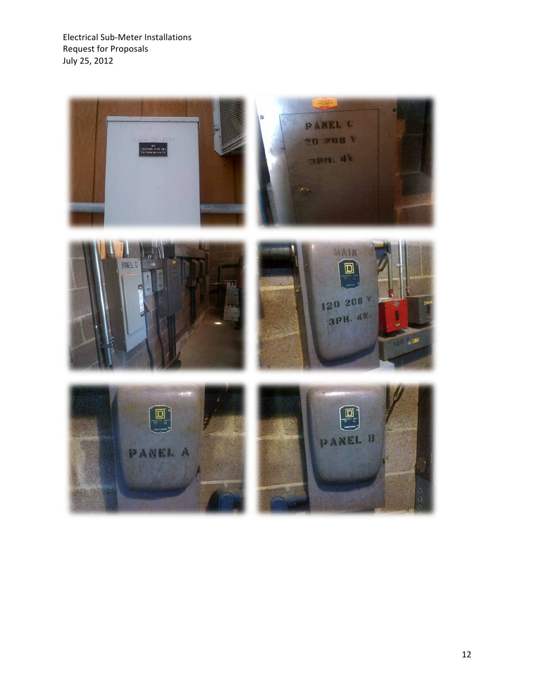